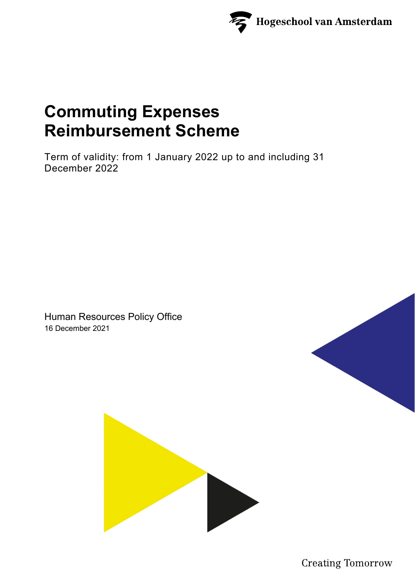

# **Commuting Expenses Reimbursement Scheme**

Term of validity: from 1 January 2022 up to and including 31 December 2022

Human Resources Policy Office 16 December 2021



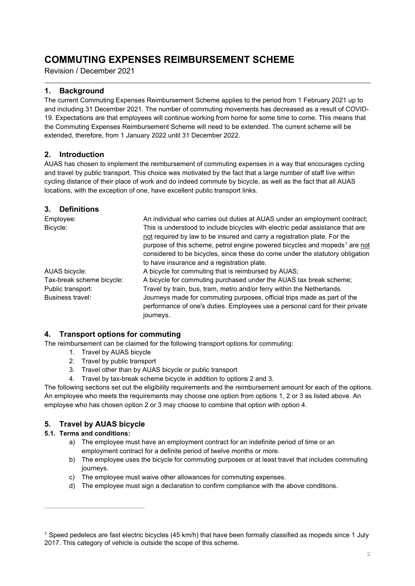# **COMMUTING EXPENSES REIMBURSEMENT SCHEME**

Revision / December 2021

# **1. Background**

The current Commuting Expenses Reimbursement Scheme applies to the period from 1 February 2021 up to and including 31 December 2021. The number of commuting movements has decreased as a result of COVID-19. Expectations are that employees will continue working from home for some time to come. This means that the Commuting Expenses Reimbursement Scheme will need to be extended. The current scheme will be extended, therefore, from 1 January 2022 until 31 December 2022.

# **2. Introduction**

AUAS has chosen to implement the reimbursement of commuting expenses in a way that encourages cycling and travel by public transport. This choice was motivated by the fact that a large number of staff live within cycling distance of their place of work and do indeed commute by bicycle, as well as the fact that all AUAS locations, with the exception of one, have excellent public transport links.

# **3. Definitions**

| Employee:                 | An individual who carries out duties at AUAS under an employment contract;             |
|---------------------------|----------------------------------------------------------------------------------------|
| Bicycle:                  | This is understood to include bicycles with electric pedal assistance that are         |
|                           | not required by law to be insured and carry a registration plate. For the              |
|                           | purpose of this scheme, petrol engine powered bicycles and mopeds <sup>1</sup> are not |
|                           | considered to be bicycles, since these do come under the statutory obligation          |
|                           | to have insurance and a registration plate.                                            |
| AUAS bicycle:             | A bicycle for commuting that is reimbursed by AUAS;                                    |
| Tax-break scheme bicycle: | A bicycle for commuting purchased under the AUAS tax break scheme;                     |
| Public transport:         | Travel by train, bus, tram, metro and/or ferry within the Netherlands.                 |
| Business travel:          | Journeys made for commuting purposes, official trips made as part of the               |
|                           | performance of one's duties. Employees use a personal card for their private           |
|                           | journeys.                                                                              |

# **4. Transport options for commuting**

The reimbursement can be claimed for the following transport options for commuting:

- 1. Travel by AUAS bicycle
- 2. Travel by public transport
- 3. Travel other than by AUAS bicycle or public transport
- 4. Travel by tax-break scheme bicycle in addition to options 2 and 3.

The following sections set out the eligibility requirements and the reimbursement amount for each of the options. An employee who meets the requirements may choose one option from options 1, 2 or 3 as listed above. An employee who has chosen option 2 or 3 may choose to combine that option with option 4.

# **5. Travel by AUAS bicycle**

# **5.1. Terms and conditions:**

- a) The employee must have an employment contract for an indefinite period of time or an employment contract for a definite period of twelve months or more.
- b) The employee uses the bicycle for commuting purposes or at least travel that includes commuting journeys.
- c) The employee must waive other allowances for commuting expenses.
- d) The employee must sign a declaration to confirm compliance with the above conditions.

<span id="page-1-0"></span><sup>1</sup> Speed pedelecs are fast electric bicycles (45 km/h) that have been formally classified as mopeds since 1 July 2017. This category of vehicle is outside the scope of this scheme.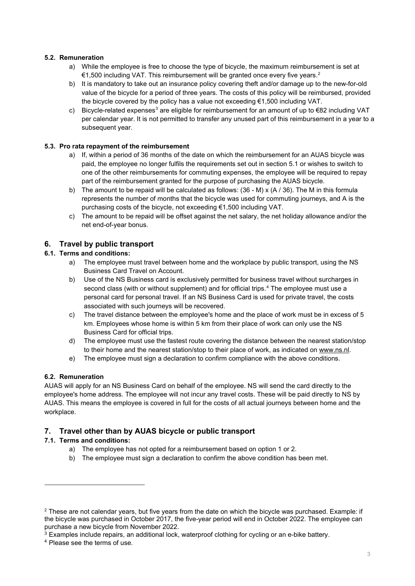#### **5.2. Remuneration**

- a) While the employee is free to choose the type of bicycle, the maximum reimbursement is set at €1,500 including VAT. This reimbursement will be granted once every five years.<sup>[2](#page-2-0)</sup>
- b) It is mandatory to take out an insurance policy covering theft and/or damage up to the new-for-old value of the bicycle for a period of three years. The costs of this policy will be reimbursed, provided the bicycle covered by the policy has a value not exceeding  $\epsilon$ 1,500 including VAT.
- c) Bicycle-related expenses<sup>[3](#page-2-1)</sup> are eligible for reimbursement for an amount of up to  $\epsilon$ 82 including VAT per calendar year. It is not permitted to transfer any unused part of this reimbursement in a year to a subsequent year.

#### **5.3. Pro rata repayment of the reimbursement**

- a) If, within a period of 36 months of the date on which the reimbursement for an AUAS bicycle was paid, the employee no longer fulfils the requirements set out in section 5.1 or wishes to switch to one of the other reimbursements for commuting expenses, the employee will be required to repay part of the reimbursement granted for the purpose of purchasing the AUAS bicycle.
- b) The amount to be repaid will be calculated as follows:  $(36 M) \times (A / 36)$ . The M in this formula represents the number of months that the bicycle was used for commuting journeys, and A is the purchasing costs of the bicycle, not exceeding €1,500 including VAT.
- c) The amount to be repaid will be offset against the net salary, the net holiday allowance and/or the net end-of-year bonus.

# **6. Travel by public transport**

#### **6.1. Terms and conditions:**

- a) The employee must travel between home and the workplace by public transport, using the NS Business Card Travel on Account.
- b) Use of the NS Business card is exclusively permitted for business travel without surcharges in second class (with or without supplement) and for official trips.<sup>[4](#page-2-2)</sup> The employee must use a personal card for personal travel. If an NS Business Card is used for private travel, the costs associated with such journeys will be recovered.
- c) The travel distance between the employee's home and the place of work must be in excess of 5 km. Employees whose home is within 5 km from their place of work can only use the NS Business Card for official trips.
- d) The employee must use the fastest route covering the distance between the nearest station/stop to their home and the nearest station/stop to their place of work, as indicated on [www.ns.nl.](http://www.ns.nl/)
- e) The employee must sign a declaration to confirm compliance with the above conditions.

# **6.2. Remuneration**

AUAS will apply for an NS Business Card on behalf of the employee. NS will send the card directly to the employee's home address. The employee will not incur any travel costs. These will be paid directly to NS by AUAS. This means the employee is covered in full for the costs of all actual journeys between home and the workplace.

# **7. Travel other than by AUAS bicycle or public transport**

# **7.1. Terms and conditions:**

- a) The employee has not opted for a reimbursement based on option 1 or 2.
- b) The employee must sign a declaration to confirm the above condition has been met.

<span id="page-2-0"></span> $2$  These are not calendar years, but five years from the date on which the bicycle was purchased. Example: if the bicycle was purchased in October 2017, the five-year period will end in October 2022. The employee can purchase a new bicycle from November 2022.

<span id="page-2-1"></span> $3$  Examples include repairs, an additional lock, waterproof clothing for cycling or an e-bike battery.

<span id="page-2-2"></span><sup>4</sup> Please see the terms of use.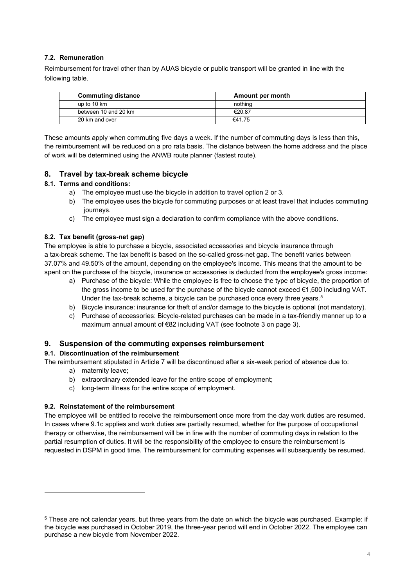#### **7.2. Remuneration**

Reimbursement for travel other than by AUAS bicycle or public transport will be granted in line with the following table.

| <b>Commuting distance</b> | Amount per month |
|---------------------------|------------------|
| up to 10 km               | nothing          |
| between 10 and 20 km      | €20.87           |
| 20 km and over            | €41.75           |

These amounts apply when commuting five days a week. If the number of commuting days is less than this, the reimbursement will be reduced on a pro rata basis. The distance between the home address and the place of work will be determined using the ANWB route planner (fastest route).

#### **8. Travel by tax-break scheme bicycle**

#### **8.1. Terms and conditions:**

- a) The employee must use the bicycle in addition to travel option 2 or 3.
- b) The employee uses the bicycle for commuting purposes or at least travel that includes commuting journeys.
- c) The employee must sign a declaration to confirm compliance with the above conditions.

#### **8.2. Tax benefit (gross-net gap)**

The employee is able to purchase a bicycle, associated accessories and bicycle insurance through a tax-break scheme. The tax benefit is based on the so-called gross-net gap. The benefit varies between 37.07% and 49.50% of the amount, depending on the employee's income. This means that the amount to be spent on the purchase of the bicycle, insurance or accessories is deducted from the employee's gross income:

- a) Purchase of the bicycle: While the employee is free to choose the type of bicycle, the proportion of the gross income to be used for the purchase of the bicycle cannot exceed €1,500 including VAT. Under the tax-break scheme, a bicycle can be purchased once every three years.<sup>[5](#page-3-0)</sup>
- b) Bicycle insurance: insurance for theft of and/or damage to the bicycle is optional (not mandatory).
- c) Purchase of accessories: Bicycle-related purchases can be made in a tax-friendly manner up to a maximum annual amount of €82 including VAT (see footnote 3 on page 3).

#### **9. Suspension of the commuting expenses reimbursement**

#### **9.1. Discontinuation of the reimbursement**

The reimbursement stipulated in Article 7 will be discontinued after a six-week period of absence due to:

- a) maternity leave;
- b) extraordinary extended leave for the entire scope of employment;
- c) long-term illness for the entire scope of employment.

#### **9.2. Reinstatement of the reimbursement**

The employee will be entitled to receive the reimbursement once more from the day work duties are resumed. In cases where 9.1c applies and work duties are partially resumed, whether for the purpose of occupational therapy or otherwise, the reimbursement will be in line with the number of commuting days in relation to the partial resumption of duties. It will be the responsibility of the employee to ensure the reimbursement is requested in DSPM in good time. The reimbursement for commuting expenses will subsequently be resumed.

<span id="page-3-0"></span><sup>5</sup> These are not calendar years, but three years from the date on which the bicycle was purchased. Example: if the bicycle was purchased in October 2019, the three-year period will end in October 2022. The employee can purchase a new bicycle from November 2022.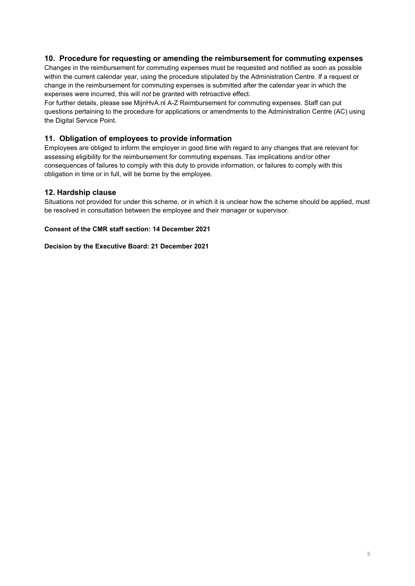#### **10. Procedure for requesting or amending the reimbursement for commuting expenses**

Changes in the reimbursement for commuting expenses must be requested and notified as soon as possible within the current calendar year, using the procedure stipulated by the Administration Centre. If a request or change in the reimbursement for commuting expenses is submitted after the calendar year in which the expenses were incurred, this will *not* be granted with retroactive effect.

For further details, please see MijnHvA.nl A-Z Reimbursement for commuting expenses. Staff can put questions pertaining to the procedure for applications or amendments to the Administration Centre (AC) using the Digital Service Point.

#### **11. Obligation of employees to provide information**

Employees are obliged to inform the employer in good time with regard to any changes that are relevant for assessing eligibility for the reimbursement for commuting expenses. Tax implications and/or other consequences of failures to comply with this duty to provide information, or failures to comply with this obligation in time or in full, will be borne by the employee.

#### **12. Hardship clause**

Situations not provided for under this scheme, or in which it is unclear how the scheme should be applied, must be resolved in consultation between the employee and their manager or supervisor.

#### **Consent of the CMR staff section: 14 December 2021**

#### **Decision by the Executive Board: 21 December 2021**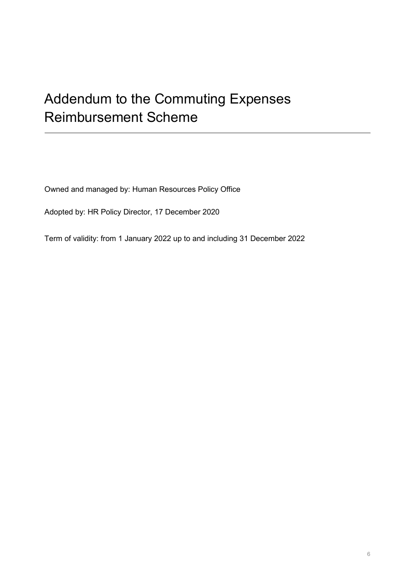# Addendum to the Commuting Expenses Reimbursement Scheme

Owned and managed by: Human Resources Policy Office

Adopted by: HR Policy Director, 17 December 2020

Term of validity: from 1 January 2022 up to and including 31 December 2022